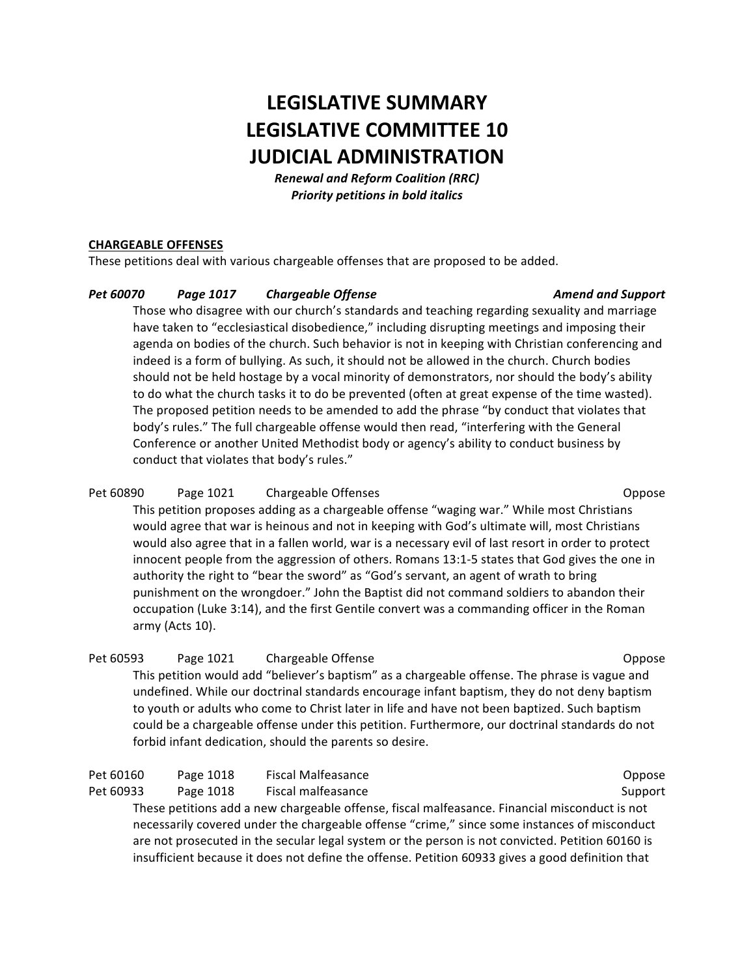# **LEGISLATIVE SUMMARY LEGISLATIVE COMMITTEE 10 JUDICIAL ADMINISTRATION**

*Renewal and Reform Coalition (RRC) Priority petitions in bold italics*

### **CHARGEABLE OFFENSES**

These petitions deal with various chargeable offenses that are proposed to be added.

#### *Pet 60070 Page 1017 Chargeable Offense Amend and Support*

Those who disagree with our church's standards and teaching regarding sexuality and marriage have taken to "ecclesiastical disobedience," including disrupting meetings and imposing their agenda on bodies of the church. Such behavior is not in keeping with Christian conferencing and indeed is a form of bullying. As such, it should not be allowed in the church. Church bodies should not be held hostage by a vocal minority of demonstrators, nor should the body's ability to do what the church tasks it to do be prevented (often at great expense of the time wasted). The proposed petition needs to be amended to add the phrase "by conduct that violates that body's rules." The full chargeable offense would then read, "interfering with the General Conference or another United Methodist body or agency's ability to conduct business by conduct that violates that body's rules."

# Pet 60890 Page 1021 Chargeable Offenses Charge Charge Charge Charges Charges Charges Charges Charges Charges C

This petition proposes adding as a chargeable offense "waging war." While most Christians would agree that war is heinous and not in keeping with God's ultimate will, most Christians would also agree that in a fallen world, war is a necessary evil of last resort in order to protect innocent people from the aggression of others. Romans 13:1-5 states that God gives the one in authority the right to "bear the sword" as "God's servant, an agent of wrath to bring punishment on the wrongdoer." John the Baptist did not command soldiers to abandon their occupation (Luke 3:14), and the first Gentile convert was a commanding officer in the Roman army (Acts 10).

# Pet 60593 Page 1021 Chargeable Offense Charge Chargeable Offense Chargea Chargea Chargea Chargea Chargea Chargea Chargea Chargea Chargea Chargea Chargea Chargea Chargea Chargea Chargea Chargea Chargea Chargea Chargea Charg This petition would add "believer's baptism" as a chargeable offense. The phrase is vague and undefined. While our doctrinal standards encourage infant baptism, they do not deny baptism to youth or adults who come to Christ later in life and have not been baptized. Such baptism could be a chargeable offense under this petition. Furthermore, our doctrinal standards do not forbid infant dedication, should the parents so desire.

| Pet 60160 | Page 1018 | <b>Fiscal Malfeasance</b> | Oppose |
|-----------|-----------|---------------------------|--------|
|-----------|-----------|---------------------------|--------|

Pet 60933 Page 1018 Fiscal malfeasance **Support** Support

These petitions add a new chargeable offense, fiscal malfeasance. Financial misconduct is not necessarily covered under the chargeable offense "crime," since some instances of misconduct are not prosecuted in the secular legal system or the person is not convicted. Petition 60160 is insufficient because it does not define the offense. Petition 60933 gives a good definition that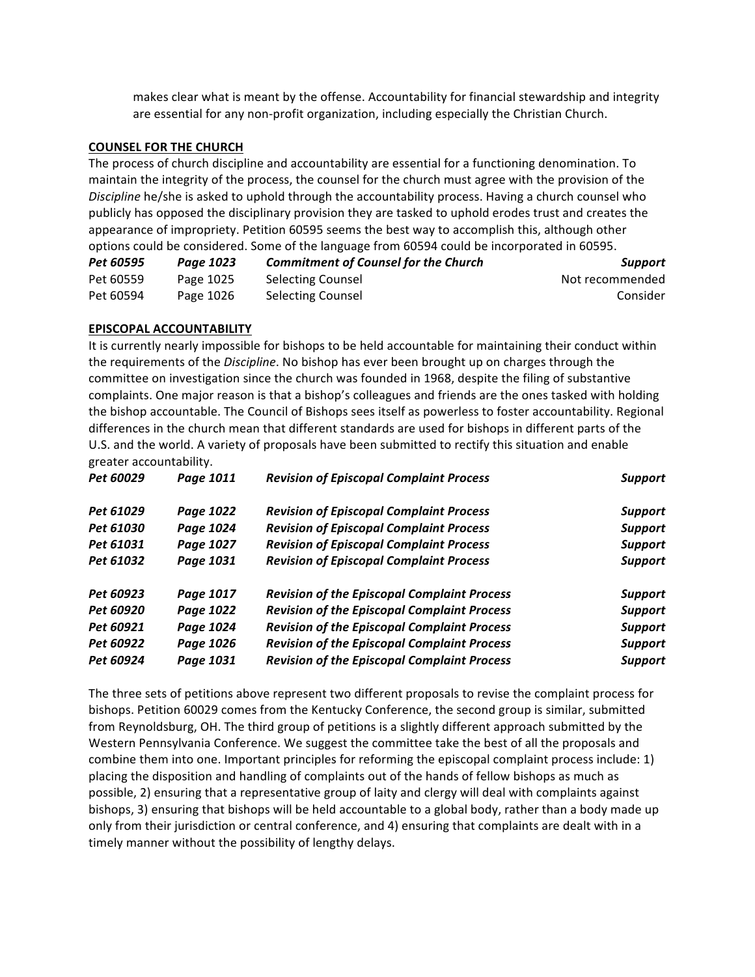makes clear what is meant by the offense. Accountability for financial stewardship and integrity are essential for any non-profit organization, including especially the Christian Church.

#### **COUNSEL FOR THE CHURCH**

The process of church discipline and accountability are essential for a functioning denomination. To maintain the integrity of the process, the counsel for the church must agree with the provision of the Discipline he/she is asked to uphold through the accountability process. Having a church counsel who publicly has opposed the disciplinary provision they are tasked to uphold erodes trust and creates the appearance of impropriety. Petition 60595 seems the best way to accomplish this, although other options could be considered. Some of the language from 60594 could be incorporated in 60595.

| Pet 60595 | Page 1023 | <b>Commitment of Counsel for the Church</b> | Support         |
|-----------|-----------|---------------------------------------------|-----------------|
| Pet 60559 | Page 1025 | Selecting Counsel                           | Not recommended |
| Pet 60594 | Page 1026 | <b>Selecting Counsel</b>                    | Consider        |

#### **EPISCOPAL ACCOUNTABILITY**

It is currently nearly impossible for bishops to be held accountable for maintaining their conduct within the requirements of the *Discipline*. No bishop has ever been brought up on charges through the committee on investigation since the church was founded in 1968, despite the filing of substantive complaints. One major reason is that a bishop's colleagues and friends are the ones tasked with holding the bishop accountable. The Council of Bishops sees itself as powerless to foster accountability. Regional differences in the church mean that different standards are used for bishops in different parts of the U.S. and the world. A variety of proposals have been submitted to rectify this situation and enable greater accountability.

| Pet 60029 | Page 1011 | <b>Revision of Episcopal Complaint Process</b>     | <b>Support</b> |
|-----------|-----------|----------------------------------------------------|----------------|
| Pet 61029 | Page 1022 | <b>Revision of Episcopal Complaint Process</b>     | <b>Support</b> |
| Pet 61030 | Page 1024 | <b>Revision of Episcopal Complaint Process</b>     | <b>Support</b> |
| Pet 61031 | Page 1027 | <b>Revision of Episcopal Complaint Process</b>     | <b>Support</b> |
| Pet 61032 | Page 1031 | <b>Revision of Episcopal Complaint Process</b>     | <b>Support</b> |
| Pet 60923 | Page 1017 | <b>Revision of the Episcopal Complaint Process</b> | <b>Support</b> |
| Pet 60920 | Page 1022 | <b>Revision of the Episcopal Complaint Process</b> | <b>Support</b> |
| Pet 60921 | Page 1024 | <b>Revision of the Episcopal Complaint Process</b> | <b>Support</b> |
| Pet 60922 | Page 1026 | <b>Revision of the Episcopal Complaint Process</b> | <b>Support</b> |
| Pet 60924 | Page 1031 | <b>Revision of the Episcopal Complaint Process</b> | <b>Support</b> |

The three sets of petitions above represent two different proposals to revise the complaint process for bishops. Petition 60029 comes from the Kentucky Conference, the second group is similar, submitted from Reynoldsburg, OH. The third group of petitions is a slightly different approach submitted by the Western Pennsylvania Conference. We suggest the committee take the best of all the proposals and combine them into one. Important principles for reforming the episcopal complaint process include: 1) placing the disposition and handling of complaints out of the hands of fellow bishops as much as possible, 2) ensuring that a representative group of laity and clergy will deal with complaints against bishops, 3) ensuring that bishops will be held accountable to a global body, rather than a body made up only from their jurisdiction or central conference, and 4) ensuring that complaints are dealt with in a timely manner without the possibility of lengthy delays.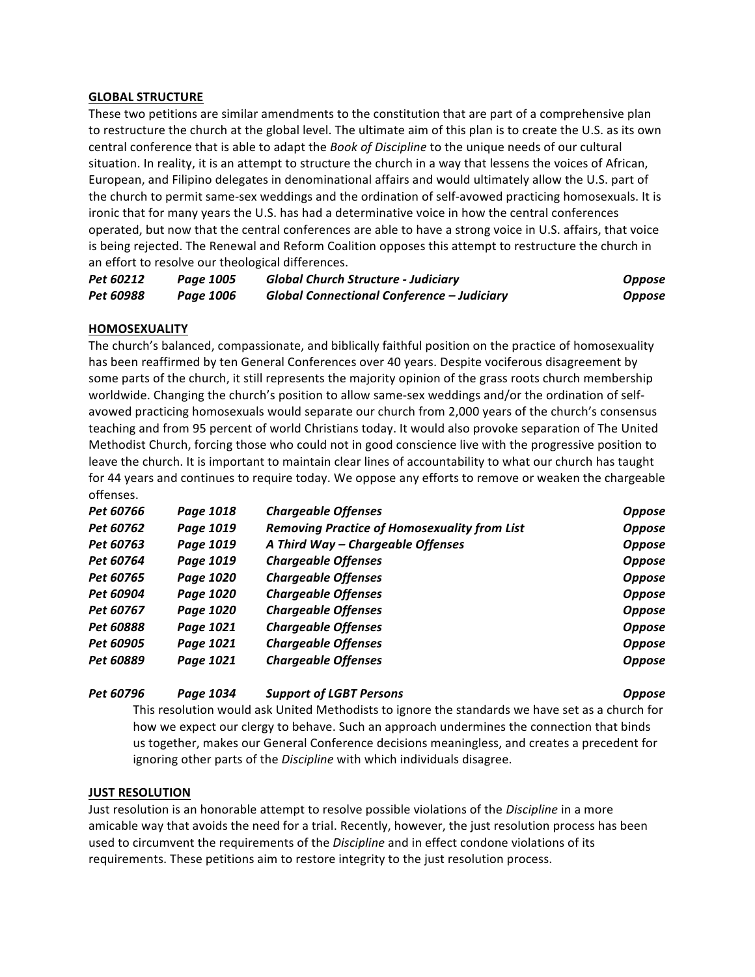#### **GLOBAL STRUCTURE**

These two petitions are similar amendments to the constitution that are part of a comprehensive plan to restructure the church at the global level. The ultimate aim of this plan is to create the U.S. as its own central conference that is able to adapt the *Book of Discipline* to the unique needs of our cultural situation. In reality, it is an attempt to structure the church in a way that lessens the voices of African, European, and Filipino delegates in denominational affairs and would ultimately allow the U.S. part of the church to permit same-sex weddings and the ordination of self-avowed practicing homosexuals. It is ironic that for many years the U.S. has had a determinative voice in how the central conferences operated, but now that the central conferences are able to have a strong voice in U.S. affairs, that voice is being rejected. The Renewal and Reform Coalition opposes this attempt to restructure the church in an effort to resolve our theological differences.

| Pet 60212 | Page 1005 | <b>Global Church Structure - Judiciary</b>        | <b>Oppose</b> |
|-----------|-----------|---------------------------------------------------|---------------|
| Pet 60988 | Page 1006 | <b>Global Connectional Conference - Judiciary</b> | <b>Oppose</b> |

#### **HOMOSEXUALITY**

The church's balanced, compassionate, and biblically faithful position on the practice of homosexuality has been reaffirmed by ten General Conferences over 40 years. Despite vociferous disagreement by some parts of the church, it still represents the majority opinion of the grass roots church membership worldwide. Changing the church's position to allow same-sex weddings and/or the ordination of selfavowed practicing homosexuals would separate our church from 2,000 years of the church's consensus teaching and from 95 percent of world Christians today. It would also provoke separation of The United Methodist Church, forcing those who could not in good conscience live with the progressive position to leave the church. It is important to maintain clear lines of accountability to what our church has taught for 44 years and continues to require today. We oppose any efforts to remove or weaken the chargeable offenses.

| Pet 60766 | Page 1018 | <b>Chargeable Offenses</b>                          | <b>Oppose</b> |
|-----------|-----------|-----------------------------------------------------|---------------|
| Pet 60762 | Page 1019 | <b>Removing Practice of Homosexuality from List</b> | <b>Oppose</b> |
| Pet 60763 | Page 1019 | A Third Way - Chargeable Offenses                   | <b>Oppose</b> |
| Pet 60764 | Page 1019 | <b>Chargeable Offenses</b>                          | <b>Oppose</b> |
| Pet 60765 | Page 1020 | <b>Chargeable Offenses</b>                          | <b>Oppose</b> |
| Pet 60904 | Page 1020 | <b>Chargeable Offenses</b>                          | <b>Oppose</b> |
| Pet 60767 | Page 1020 | <b>Chargeable Offenses</b>                          | <b>Oppose</b> |
| Pet 60888 | Page 1021 | <b>Chargeable Offenses</b>                          | <b>Oppose</b> |
| Pet 60905 | Page 1021 | <b>Chargeable Offenses</b>                          | <b>Oppose</b> |
| Pet 60889 | Page 1021 | <b>Chargeable Offenses</b>                          | <b>Oppose</b> |

#### *Pet 60796 Page 1034 Support of LGBT Persons Oppose*

This resolution would ask United Methodists to ignore the standards we have set as a church for how we expect our clergy to behave. Such an approach undermines the connection that binds us together, makes our General Conference decisions meaningless, and creates a precedent for ignoring other parts of the *Discipline* with which individuals disagree.

#### **JUST RESOLUTION**

Just resolution is an honorable attempt to resolve possible violations of the *Discipline* in a more amicable way that avoids the need for a trial. Recently, however, the just resolution process has been used to circumvent the requirements of the *Discipline* and in effect condone violations of its requirements. These petitions aim to restore integrity to the just resolution process.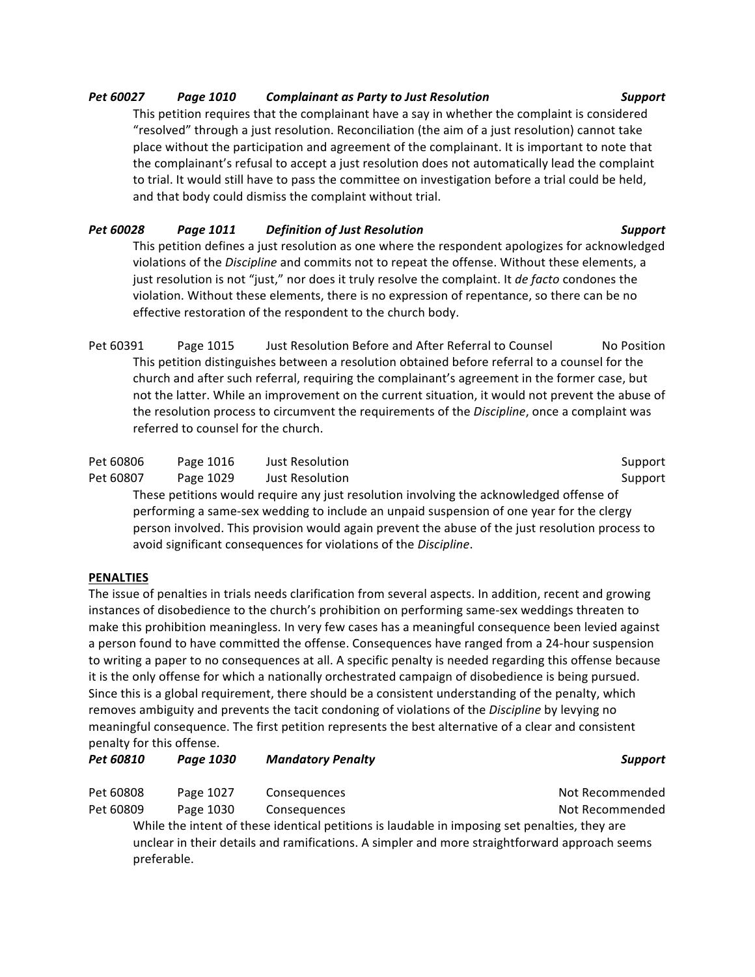# *Pet 60027 Page 1010 Complainant as Party to Just Resolution Support*

This petition requires that the complainant have a say in whether the complaint is considered "resolved" through a just resolution. Reconciliation (the aim of a just resolution) cannot take place without the participation and agreement of the complainant. It is important to note that the complainant's refusal to accept a just resolution does not automatically lead the complaint to trial. It would still have to pass the committee on investigation before a trial could be held, and that body could dismiss the complaint without trial.

# *Pet 60028 Page 1011 Definition of Just Resolution Support*

This petition defines a just resolution as one where the respondent apologizes for acknowledged violations of the *Discipline* and commits not to repeat the offense. Without these elements, a just resolution is not "just," nor does it truly resolve the complaint. It *de facto* condones the violation. Without these elements, there is no expression of repentance, so there can be no effective restoration of the respondent to the church body.

Pet 60391 Page 1015 Just Resolution Before and After Referral to Counsel No Position This petition distinguishes between a resolution obtained before referral to a counsel for the church and after such referral, requiring the complainant's agreement in the former case, but not the latter. While an improvement on the current situation, it would not prevent the abuse of the resolution process to circumvent the requirements of the *Discipline*, once a complaint was referred to counsel for the church.

| Pet 60806                                                                                       | Page 1016 | Just Resolution | Support |  |
|-------------------------------------------------------------------------------------------------|-----------|-----------------|---------|--|
| Pet 60807                                                                                       | Page 1029 | Just Resolution | Support |  |
| These petitions would require any just resolution involving the acknowledged offense of         |           |                 |         |  |
| performing a same-sex wedding to include an unpaid suspension of one year for the clergy        |           |                 |         |  |
| person involved. This provision would again prevent the abuse of the just resolution process to |           |                 |         |  |

avoid significant consequences for violations of the *Discipline*.

# **PENALTIES**

preferable.

The issue of penalties in trials needs clarification from several aspects. In addition, recent and growing instances of disobedience to the church's prohibition on performing same-sex weddings threaten to make this prohibition meaningless. In very few cases has a meaningful consequence been levied against a person found to have committed the offense. Consequences have ranged from a 24-hour suspension to writing a paper to no consequences at all. A specific penalty is needed regarding this offense because it is the only offense for which a nationally orchestrated campaign of disobedience is being pursued. Since this is a global requirement, there should be a consistent understanding of the penalty, which removes ambiguity and prevents the tacit condoning of violations of the *Discipline* by levying no meaningful consequence. The first petition represents the best alternative of a clear and consistent penalty for this offense.

| Pet 60810 | Page 1030 | <b>Mandatory Penalty</b>                                                                      | <b>Support</b>  |
|-----------|-----------|-----------------------------------------------------------------------------------------------|-----------------|
| Pet 60808 | Page 1027 | Consequences                                                                                  | Not Recommended |
| Pet 60809 | Page 1030 | Consequences                                                                                  | Not Recommended |
|           |           | While the intent of these identical petitions is laudable in imposing set penalties, they are |                 |
|           |           | unclear in their details and ramifications. A simpler and more straightforward approach seems |                 |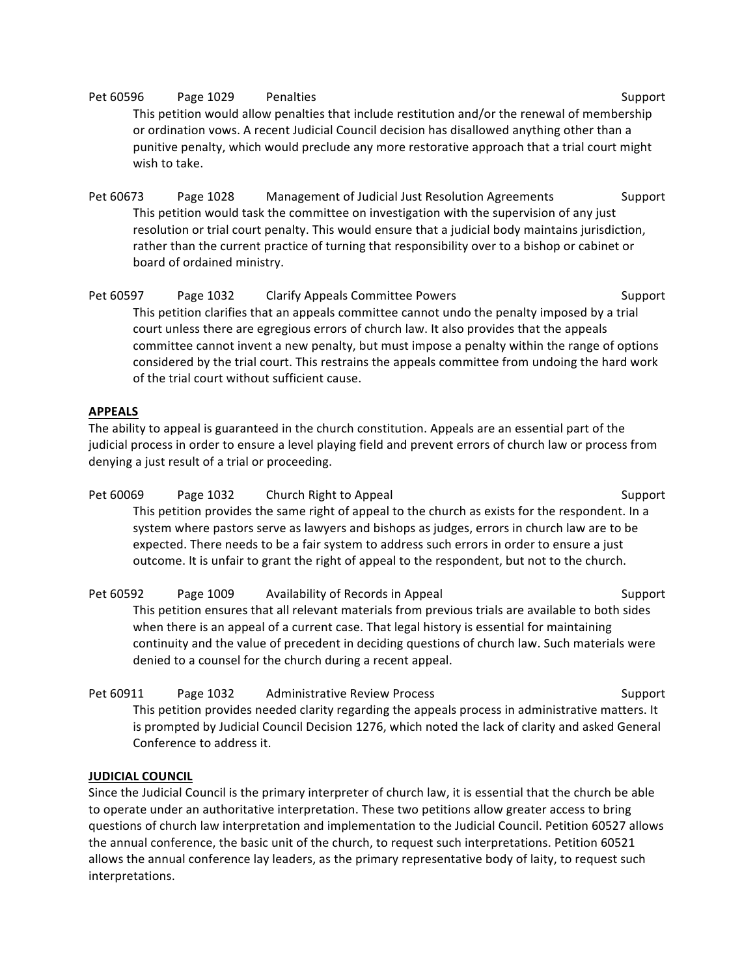Pet 60596 Page 1029 Penalties Support Support This petition would allow penalties that include restitution and/or the renewal of membership or ordination vows. A recent Judicial Council decision has disallowed anything other than a punitive penalty, which would preclude any more restorative approach that a trial court might wish to take.

Pet 60673 Page 1028 Management of Judicial Just Resolution Agreements Support This petition would task the committee on investigation with the supervision of any just resolution or trial court penalty. This would ensure that a judicial body maintains jurisdiction, rather than the current practice of turning that responsibility over to a bishop or cabinet or board of ordained ministry.

Pet 60597 Page 1032 Clarify Appeals Committee Powers Support This petition clarifies that an appeals committee cannot undo the penalty imposed by a trial court unless there are egregious errors of church law. It also provides that the appeals committee cannot invent a new penalty, but must impose a penalty within the range of options considered by the trial court. This restrains the appeals committee from undoing the hard work of the trial court without sufficient cause.

# **APPEALS**

The ability to appeal is guaranteed in the church constitution. Appeals are an essential part of the judicial process in order to ensure a level playing field and prevent errors of church law or process from denying a just result of a trial or proceeding.

Pet 60069 Page 1032 Church Right to Appeal Support Support This petition provides the same right of appeal to the church as exists for the respondent. In a system where pastors serve as lawyers and bishops as judges, errors in church law are to be expected. There needs to be a fair system to address such errors in order to ensure a just outcome. It is unfair to grant the right of appeal to the respondent, but not to the church.

Pet 60592 Page 1009 Availability of Records in Appeal Support Support This petition ensures that all relevant materials from previous trials are available to both sides when there is an appeal of a current case. That legal history is essential for maintaining continuity and the value of precedent in deciding questions of church law. Such materials were denied to a counsel for the church during a recent appeal.

Pet 60911 Page 1032 Administrative Review Process Support Support This petition provides needed clarity regarding the appeals process in administrative matters. It is prompted by Judicial Council Decision 1276, which noted the lack of clarity and asked General Conference to address it.

# **JUDICIAL COUNCIL**

Since the Judicial Council is the primary interpreter of church law, it is essential that the church be able to operate under an authoritative interpretation. These two petitions allow greater access to bring questions of church law interpretation and implementation to the Judicial Council. Petition 60527 allows the annual conference, the basic unit of the church, to request such interpretations. Petition 60521 allows the annual conference lay leaders, as the primary representative body of laity, to request such interpretations.